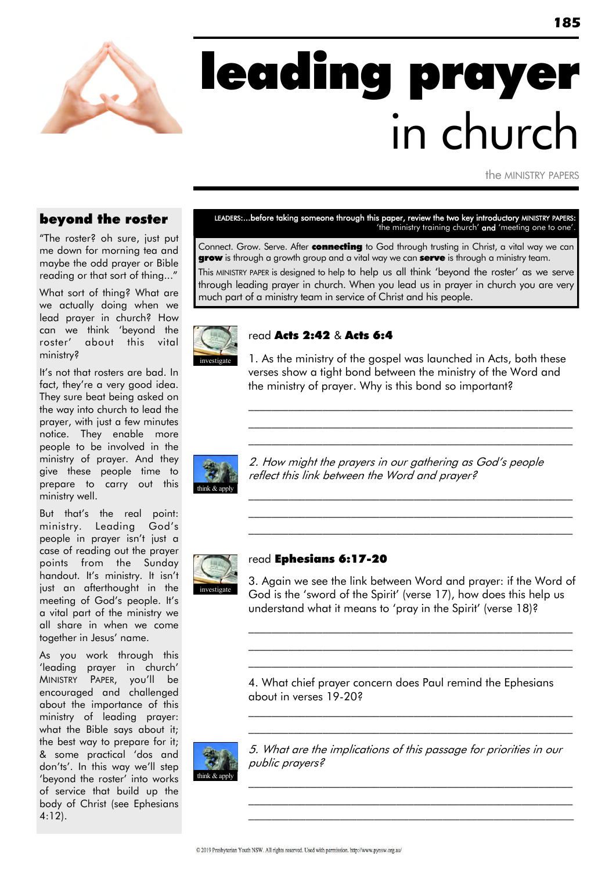# leading prayer in church

the MINISTRY PAPERS

**185**

### beyond the roster

"The roster? oh sure, just put me down for morning tea and maybe the odd prayer or Bible reading or that sort of thing..."

What sort of thing? What are we actually doing when we lead prayer in church? How can we think "beyond the roster" about this vital ministry?

It"s not that rosters are bad. In fact, they're a very good idea. They sure beat being asked on the way into church to lead the prayer, with just a few minutes notice. They enable more people to be involved in the ministry of prayer. And they give these people time to prepare to carry out this ministry well.

But that"s the real point: ministry. Leading God"s people in prayer isn't just a case of reading out the prayer points from the Sunday handout. It's ministry. It isn't just an afterthought in the meeting of God's people. It's a vital part of the ministry we all share in when we come together in Jesus' name.

As you work through this 'leading prayer in church' MINISTRY PAPER, you"ll be encouraged and challenged about the importance of this ministry of leading prayer: what the Bible says about it; the best way to prepare for it; & some practical "dos and don'ts'. In this way we'll step 'beyond the roster' into works of service that build up the body of Christ (see Ephesians 4:12).

#### LEADERS:...before taking someone through this paper, review the two key introductory MINISTRY PAPERS: 'the ministry training church' and 'meeting one to one'.

Connect. Grow. Serve. After **connecting** to God through trusting in Christ, a vital way we can **grow** is through a growth group and a vital way we can **serve** is through a ministry team. This MINISTRY PAPER is designed to help to help us all think "beyond the roster" as we serve through leading prayer in church. When you lead us in prayer in church you are very much part of a ministry team in service of Christ and his people.



### read Acts 2:42 & Acts 6:4

1. As the ministry of the gospel was launched in Acts, both these verses show a tight bond between the ministry of the Word and the ministry of prayer. Why is this bond so important?

\_\_\_\_\_\_\_\_\_\_\_\_\_\_\_\_\_\_\_\_\_\_\_\_\_\_\_\_\_\_\_\_\_\_\_\_\_\_\_\_\_\_\_\_\_\_\_\_\_\_\_\_\_\_\_\_\_  $\mathcal{L}_\text{max}$  and the contract of the contract of the contract of the contract of the contract of the contract of \_\_\_\_\_\_\_\_\_\_\_\_\_\_\_\_\_\_\_\_\_\_\_\_\_\_\_\_\_\_\_\_\_\_\_\_\_\_\_\_\_\_\_\_\_\_\_\_\_\_\_\_\_\_\_\_\_

 $\mathcal{L}_\text{max}$  and the contract of the contract of the contract of the contract of the contract of the contract of  $\mathcal{L}_\text{max}$  and the contract of the contract of the contract of the contract of the contract of the contract of  $\mathcal{L}_\text{max}$  and the contract of the contract of the contract of the contract of the contract of the contract of



2. How might the prayers in our gathering as God"s people reflect this link between the Word and prayer?



### read Ephesians 6:17-20

3. Again we see the link between Word and prayer: if the Word of God is the "sword of the Spirit" (verse 17), how does this help us understand what it means to 'pray in the Spirit' (verse 18)?

 $\mathcal{L}_\text{max}$  and the contract of the contract of the contract of the contract of the contract of the contract of

 $\mathcal{L}_\text{max}$  and the contract of the contract of the contract of the contract of the contract of the contract of

 $\mathcal{L}_\text{max}$  and the contract of the contract of the contract of the contract of the contract of the contract of  $\mathcal{L}_\text{max}$  and the contract of the contract of the contract of the contract of the contract of the contract of

4. What chief prayer concern does Paul remind the Ephesians about in verses 19-20?



5. What are the implications of this passage for priorities in our public prayers?

 $\mathcal{L}_\text{max}$  and the contract of the contract of the contract of the contract of the contract of the contract of  $\mathcal{L}_\text{max}$  and the contract of the contract of the contract of the contract of the contract of the contract of \_\_\_\_\_\_\_\_\_\_\_\_\_\_\_\_\_\_\_\_\_\_\_\_\_\_\_\_\_\_\_\_\_\_\_\_\_\_\_\_\_\_\_\_\_\_\_\_\_\_\_\_\_\_\_\_\_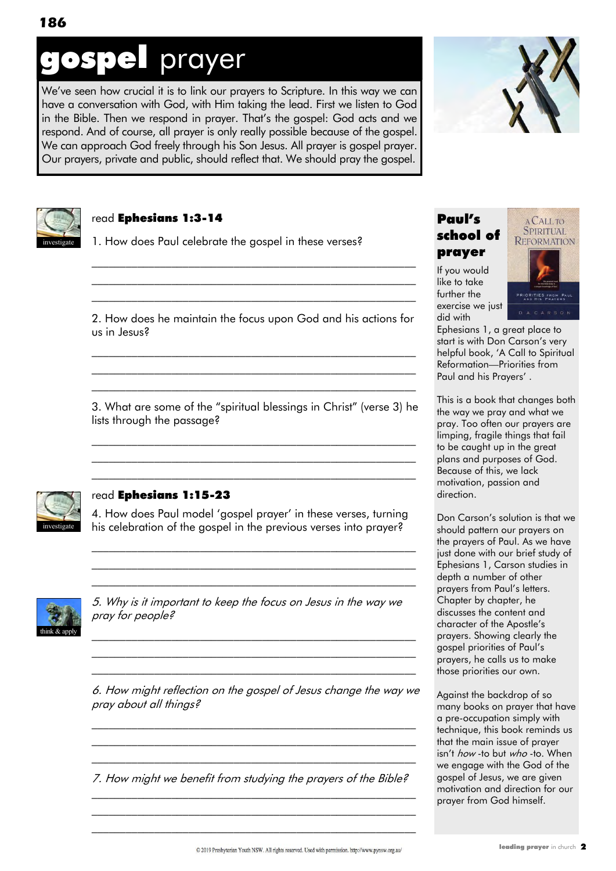## ospel prayer

We"ve seen how crucial it is to link our prayers to Scripture. In this way we can have a conversation with God, with Him taking the lead. First we listen to God in the Bible. Then we respond in prayer. That"s the gospel: God acts and we respond. And of course, all prayer is only really possible because of the gospel. We can approach God freely through his Son Jesus. All prayer is gospel prayer. Our prayers, private and public, should reflect that. We should pray the gospel.





### read Ephesians 1:3-14

1. How does Paul celebrate the gospel in these verses?

2. How does he maintain the focus upon God and his actions for us in Jesus?

 $\mathcal{L}_\text{max}$  and the contract of the contract of the contract of the contract of the contract of the contract of  $\mathcal{L}_\text{max}$  and the contract of the contract of the contract of the contract of the contract of the contract of  $\mathcal{L}_\text{max}$  and the contract of the contract of the contract of the contract of the contract of the contract of

 $\mathcal{L}_\text{max}$  and the contract of the contract of the contract of the contract of the contract of the contract of  $\mathcal{L}_\text{max}$  and the contract of the contract of the contract of the contract of the contract of the contract of  $\mathcal{L}_\text{max}$  and the contract of the contract of the contract of the contract of the contract of the contract of

3. What are some of the "spiritual blessings in Christ" (verse 3) he lists through the passage?

 $\mathcal{L}_\text{max}$  and the contract of the contract of the contract of the contract of the contract of the contract of  $\mathcal{L}_\text{max}$  and the contract of the contract of the contract of the contract of the contract of the contract of  $\mathcal{L}_\text{max}$  and the contract of the contract of the contract of the contract of the contract of the contract of



### read Ephesians 1:15-23

4. How does Paul model 'gospel prayer' in these verses, turning his celebration of the gospel in the previous verses into prayer?

 $\mathcal{L}_\text{max}$  and the contract of the contract of the contract of the contract of the contract of the contract of  $\mathcal{L}_\text{max}$  and the contract of the contract of the contract of the contract of the contract of the contract of  $\mathcal{L}_\text{max}$  and the contract of the contract of the contract of the contract of the contract of the contract of



5. Why is it important to keep the focus on Jesus in the way we pray for people?

 $\mathcal{L}_\text{max}$  and the contract of the contract of the contract of the contract of the contract of the contract of  $\mathcal{L}_\text{max}$  and the contract of the contract of the contract of the contract of the contract of the contract of  $\mathcal{L}_\text{max}$  and the contract of the contract of the contract of the contract of the contract of the contract of

6. How might reflection on the gospel of Jesus change the way we pray about all things?

 $\mathcal{L}_\text{max}$  and the contract of the contract of the contract of the contract of the contract of the contract of  $\mathcal{L}_\text{max}$  and the contract of the contract of the contract of the contract of the contract of the contract of  $\mathcal{L}_\text{max}$  and the contract of the contract of the contract of the contract of the contract of the contract of

7. How might we benefit from studying the prayers of the Bible?  $\mathcal{L}_\text{max}$  and the contract of the contract of the contract of the contract of the contract of the contract of

 $\mathcal{L}_\text{max}$  and the contract of the contract of the contract of the contract of the contract of the contract of the contract of the contract of the contract of the contract of the contract of the contract of the contrac  $\mathcal{L}_\text{max}$  and the contract of the contract of the contract of the contract of the contract of the contract of



If you would like to take further the

did with



Ephesians 1, a great place to start is with Don Carson's very helpful book, "A Call to Spiritual Reformation—Priorities from Paul and his Prayers'.

This is a book that changes both the way we pray and what we pray. Too often our prayers are limping, fragile things that fail to be caught up in the great plans and purposes of God. Because of this, we lack motivation, passion and direction.

Don Carson"s solution is that we should pattern our prayers on the prayers of Paul. As we have just done with our brief study of Ephesians 1, Carson studies in depth a number of other prayers from Paul"s letters. Chapter by chapter, he discusses the content and character of the Apostle"s prayers. Showing clearly the gospel priorities of Paul"s prayers, he calls us to make those priorities our own.

Against the backdrop of so many books on prayer that have a pre-occupation simply with technique, this book reminds us that the main issue of prayer isn't *how* -to but who -to. When we engage with the God of the gospel of Jesus, we are given motivation and direction for our prayer from God himself.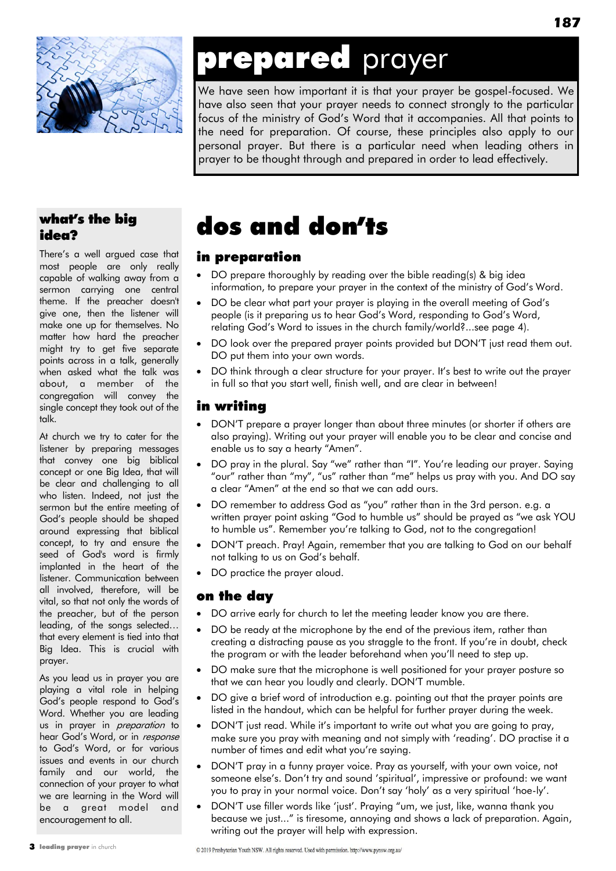

# prepared prayer

We have seen how important it is that your prayer be gospel-focused. We have also seen that your prayer needs to connect strongly to the particular focus of the ministry of God"s Word that it accompanies. All that points to the need for preparation. Of course, these principles also apply to our personal prayer. But there is a particular need when leading others in prayer to be thought through and prepared in order to lead effectively.

### what's the big idea?

There"s a well argued case that most people are only really capable of walking away from a sermon carrying one central theme. If the preacher doesn't give one, then the listener will make one up for themselves. No matter how hard the preacher might try to get five separate points across in a talk, generally when asked what the talk was about, a member of the congregation will convey the single concept they took out of the talk.

At church we try to cater for the listener by preparing messages that convey one big biblical concept or one Big Idea, that will be clear and challenging to all who listen. Indeed, not just the sermon but the entire meeting of God"s people should be shaped around expressing that biblical concept, to try and ensure the seed of God's word is firmly implanted in the heart of the listener. Communication between all involved, therefore, will be vital, so that not only the words of the preacher, but of the person leading, of the songs selected… that every element is tied into that Big Idea. This is crucial with prayer.

As you lead us in prayer you are playing a vital role in helping God"s people respond to God"s Word. Whether you are leading us in prayer in *preparation* to hear God's Word, or in response to God"s Word, or for various issues and events in our church family and our world, the connection of your prayer to what we are learning in the Word will be a great model and encouragement to all.

### dos and don'ts

### in preparation

- DO prepare thoroughly by reading over the bible reading(s) & big idea information, to prepare your prayer in the context of the ministry of God"s Word.
- DO be clear what part your prayer is playing in the overall meeting of God's people (is it preparing us to hear God"s Word, responding to God"s Word, relating God"s Word to issues in the church family/world?...see page 4).
- DO look over the prepared prayer points provided but DON"T just read them out. DO put them into your own words.
- DO think through a clear structure for your prayer. It's best to write out the prayer in full so that you start well, finish well, and are clear in between!

### in writing

- DON"T prepare a prayer longer than about three minutes (or shorter if others are also praying). Writing out your prayer will enable you to be clear and concise and enable us to say a hearty "Amen".
- DO pray in the plural. Say "we" rather than "I". You're leading our prayer. Saying "our" rather than "my", "us" rather than "me" helps us pray with you. And DO say a clear "Amen" at the end so that we can add ours.
- DO remember to address God as "you" rather than in the 3rd person. e.g. a written prayer point asking "God to humble us" should be prayed as "we ask YOU to humble us". Remember you"re talking to God, not to the congregation!
- DON"T preach. Pray! Again, remember that you are talking to God on our behalf not talking to us on God"s behalf.
- DO practice the prayer aloud.

### on the day

- DO arrive early for church to let the meeting leader know you are there.
- DO be ready at the microphone by the end of the previous item, rather than creating a distracting pause as you straggle to the front. If you"re in doubt, check the program or with the leader beforehand when you"ll need to step up.
- DO make sure that the microphone is well positioned for your prayer posture so that we can hear you loudly and clearly. DON"T mumble.
- DO give a brief word of introduction e.g. pointing out that the prayer points are listed in the handout, which can be helpful for further prayer during the week.
- DON'T just read. While it's important to write out what you are going to pray, make sure you pray with meaning and not simply with "reading". DO practise it a number of times and edit what you"re saying.
- DON"T pray in a funny prayer voice. Pray as yourself, with your own voice, not someone else's. Don't try and sound 'spiritual', impressive or profound: we want you to pray in your normal voice. Don"t say "holy" as a very spiritual "hoe-ly".
- DON"T use filler words like "just". Praying "um, we just, like, wanna thank you because we just..." is tiresome, annoying and shows a lack of preparation. Again, writing out the prayer will help with expression.